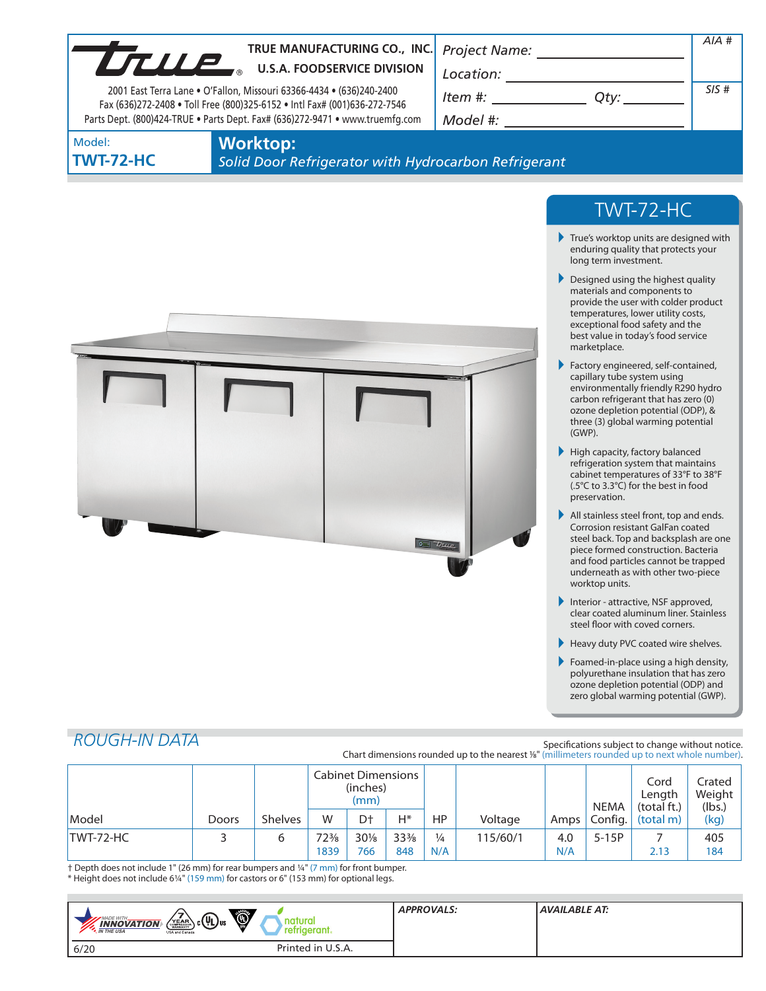| SIS#<br>2001 East Terra Lane . O'Fallon, Missouri 63366-4434 . (636)240-2400<br>$Item #: __________ Qty: __________$<br>Fax (636)272-2408 . Toll Free (800)325-6152 . Intl Fax# (001)636-272-7546<br>Parts Dept. (800)424-TRUE . Parts Dept. Fax# (636)272-9471 . www.truemfg.com<br><b>Worktop:</b><br>Model:<br>Solid Door Refrigerator with Hydrocarbon Refrigerant<br>TWT-72-HC<br>$\blacktriangleright$ True's worktop units are designed with<br>enduring quality that protects your<br>long term investment.<br>$\blacktriangleright$ Designed using the highest quality<br>materials and components to<br>provide the user with colder product<br>temperatures, lower utility costs,<br>exceptional food safety and the<br>best value in today's food service<br>marketplace.<br>Factory engineered, self-contained,<br>capillary tube system using<br>environmentally friendly R290 hydro<br>carbon refrigerant that has zero (0)<br>ozone depletion potential (ODP), &<br>three (3) global warming potential<br>$(GWP)$ .<br>High capacity, factory balanced<br>refrigeration system that maintains<br>cabinet temperatures of 33°F to 38°F<br>(.5°C to 3.3°C) for the best in food<br>preservation.<br>All stainless steel front, top and ends.<br>Corrosion resistant GalFan coated<br>steel back. Top and backsplash are one<br>Trup<br>piece formed construction. Bacteria<br>and food particles cannot be trapped<br>underneath as with other two-piece<br>worktop units.<br>Interior - attractive, NSF approved,<br>Þ.<br>clear coated aluminum liner. Stainless<br>steel floor with coved corners.<br>Heavy duty PVC coated wire shelves.<br>Foamed-in-place using a high density,<br>polyurethane insulation that has zero<br>ozone depletion potential (ODP) and<br>zero global warming potential (GWP).<br><b>ROUGH-IN DATA</b> |                  | TRUE MANUFACTURING CO., INC.<br>TRUE MANUFACTURING CO., INC |  | Project Name: _________________ | AIA# |
|-----------------------------------------------------------------------------------------------------------------------------------------------------------------------------------------------------------------------------------------------------------------------------------------------------------------------------------------------------------------------------------------------------------------------------------------------------------------------------------------------------------------------------------------------------------------------------------------------------------------------------------------------------------------------------------------------------------------------------------------------------------------------------------------------------------------------------------------------------------------------------------------------------------------------------------------------------------------------------------------------------------------------------------------------------------------------------------------------------------------------------------------------------------------------------------------------------------------------------------------------------------------------------------------------------------------------------------------------------------------------------------------------------------------------------------------------------------------------------------------------------------------------------------------------------------------------------------------------------------------------------------------------------------------------------------------------------------------------------------------------------------------------------------------------------------------------------------------------------|------------------|-------------------------------------------------------------|--|---------------------------------|------|
|                                                                                                                                                                                                                                                                                                                                                                                                                                                                                                                                                                                                                                                                                                                                                                                                                                                                                                                                                                                                                                                                                                                                                                                                                                                                                                                                                                                                                                                                                                                                                                                                                                                                                                                                                                                                                                                     |                  |                                                             |  |                                 |      |
|                                                                                                                                                                                                                                                                                                                                                                                                                                                                                                                                                                                                                                                                                                                                                                                                                                                                                                                                                                                                                                                                                                                                                                                                                                                                                                                                                                                                                                                                                                                                                                                                                                                                                                                                                                                                                                                     |                  |                                                             |  |                                 |      |
|                                                                                                                                                                                                                                                                                                                                                                                                                                                                                                                                                                                                                                                                                                                                                                                                                                                                                                                                                                                                                                                                                                                                                                                                                                                                                                                                                                                                                                                                                                                                                                                                                                                                                                                                                                                                                                                     |                  |                                                             |  |                                 |      |
|                                                                                                                                                                                                                                                                                                                                                                                                                                                                                                                                                                                                                                                                                                                                                                                                                                                                                                                                                                                                                                                                                                                                                                                                                                                                                                                                                                                                                                                                                                                                                                                                                                                                                                                                                                                                                                                     | <b>TWT-72-HC</b> |                                                             |  |                                 |      |
|                                                                                                                                                                                                                                                                                                                                                                                                                                                                                                                                                                                                                                                                                                                                                                                                                                                                                                                                                                                                                                                                                                                                                                                                                                                                                                                                                                                                                                                                                                                                                                                                                                                                                                                                                                                                                                                     |                  |                                                             |  |                                 |      |
|                                                                                                                                                                                                                                                                                                                                                                                                                                                                                                                                                                                                                                                                                                                                                                                                                                                                                                                                                                                                                                                                                                                                                                                                                                                                                                                                                                                                                                                                                                                                                                                                                                                                                                                                                                                                                                                     |                  |                                                             |  |                                 |      |

|           |              |                | Cabinet Dimensions<br>(inches)<br>(mm) |                |                 |               |          | <b>NEMA</b>       | Cord<br>Length<br>(total ft.) | Crated<br>Weight  <br>(lbs.) |      |
|-----------|--------------|----------------|----------------------------------------|----------------|-----------------|---------------|----------|-------------------|-------------------------------|------------------------------|------|
| Model     | <b>Doors</b> | <b>Shelves</b> | W                                      | D <sup>+</sup> | H*              | HP            | Voltage  | Amps <sup>1</sup> | Config.                       | (total m)                    | (kg) |
| TWT-72-HC |              |                | 72%                                    | $30\%$         | $33\frac{3}{8}$ | $\frac{1}{4}$ | 115/60/1 | 4.0               | $5-15P$                       |                              | 405  |
|           |              |                | 1839                                   | 766            | 848             | N/A           |          | N/A               |                               | 2.13                         | 184  |

† Depth does not include 1" (26 mm) for rear bumpers and 1/4" (7 mm) for front bumper. \* Height does not include 61/4" (159 mm) for castors or 6" (153 mm) for optional legs.

| Ó,<br>$\sqrt{\frac{7}{\text{max}}}$ c $\left(\prod_{\text{US}}\right)$ us<br>MADE WITH_<br>natural<br><b>INNOVATION</b><br>retrigerant.<br><b>M</b> THE USA<br>USA and Canada | <b>APPROVALS:</b> | <b>AVAILABLE AT:</b> |
|-------------------------------------------------------------------------------------------------------------------------------------------------------------------------------|-------------------|----------------------|
| Printed in U.S.A.<br>6/20                                                                                                                                                     |                   |                      |